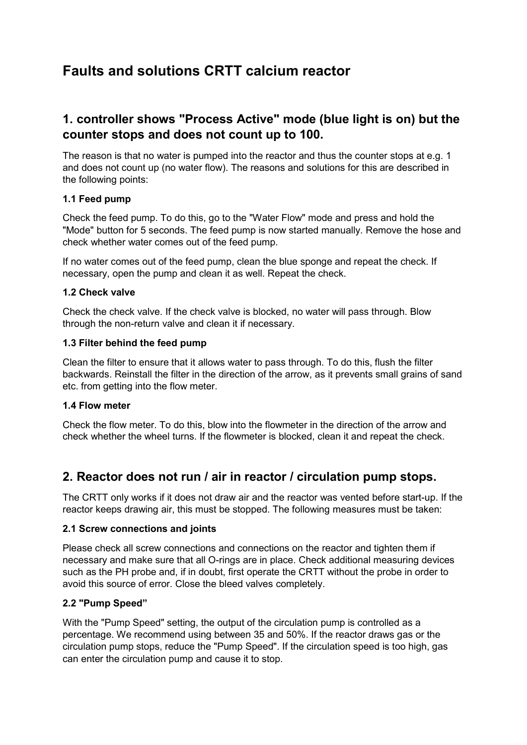# Faults and solutions CRTT calcium reactor

# 1. controller shows "Process Active" mode (blue light is on) but the counter stops and does not count up to 100.

The reason is that no water is pumped into the reactor and thus the counter stops at e.g. 1 and does not count up (no water flow). The reasons and solutions for this are described in the following points:

## 1.1 Feed pump

Check the feed pump. To do this, go to the "Water Flow" mode and press and hold the "Mode" button for 5 seconds. The feed pump is now started manually. Remove the hose and check whether water comes out of the feed pump.

If no water comes out of the feed pump, clean the blue sponge and repeat the check. If necessary, open the pump and clean it as well. Repeat the check.

#### 1.2 Check valve

Check the check valve. If the check valve is blocked, no water will pass through. Blow through the non-return valve and clean it if necessary.

#### 1.3 Filter behind the feed pump

Clean the filter to ensure that it allows water to pass through. To do this, flush the filter backwards. Reinstall the filter in the direction of the arrow, as it prevents small grains of sand etc. from getting into the flow meter.

#### 1.4 Flow meter

Check the flow meter. To do this, blow into the flowmeter in the direction of the arrow and check whether the wheel turns. If the flowmeter is blocked, clean it and repeat the check.

# 2. Reactor does not run / air in reactor / circulation pump stops.

The CRTT only works if it does not draw air and the reactor was vented before start-up. If the reactor keeps drawing air, this must be stopped. The following measures must be taken:

#### 2.1 Screw connections and joints

Please check all screw connections and connections on the reactor and tighten them if necessary and make sure that all O-rings are in place. Check additional measuring devices such as the PH probe and, if in doubt, first operate the CRTT without the probe in order to avoid this source of error. Close the bleed valves completely.

#### 2.2 "Pump Speed"

With the "Pump Speed" setting, the output of the circulation pump is controlled as a percentage. We recommend using between 35 and 50%. If the reactor draws gas or the circulation pump stops, reduce the "Pump Speed". If the circulation speed is too high, gas can enter the circulation pump and cause it to stop.